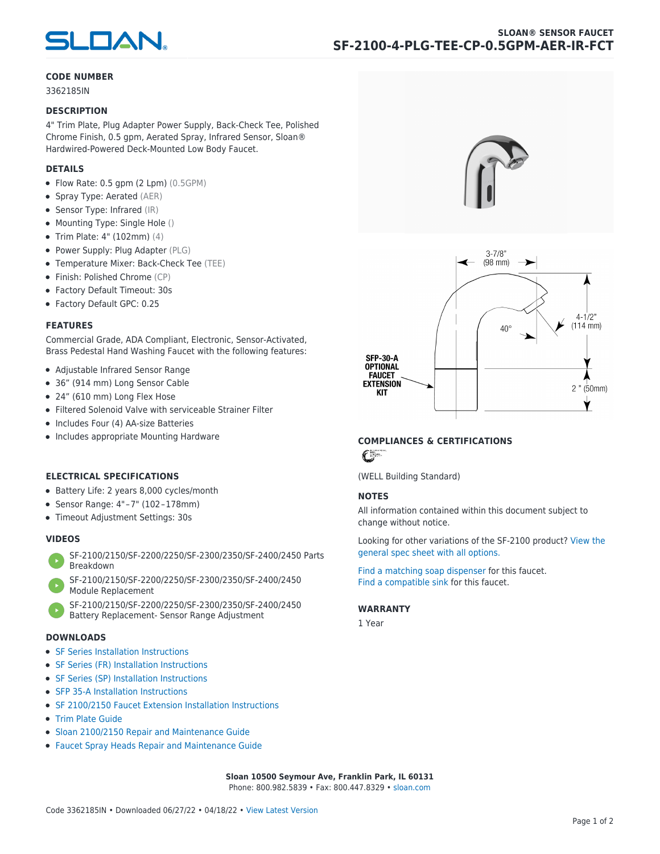

# **CODE NUMBER**

3362185IN

### **DESCRIPTION**

4" Trim Plate, Plug Adapter Power Supply, Back-Check Tee, Polished Chrome Finish, 0.5 gpm, Aerated Spray, Infrared Sensor, Sloan® Hardwired-Powered Deck-Mounted Low Body Faucet.

# **DETAILS**

- Flow Rate: 0.5 gpm (2 Lpm) (0.5GPM)
- Spray Type: Aerated (AER)
- Sensor Type: Infrared (IR)
- Mounting Type: Single Hole ()
- Trim Plate: 4" (102mm) (4)
- Power Supply: Plug Adapter (PLG)
- Temperature Mixer: Back-Check Tee (TEE)
- Finish: Polished Chrome (CP)
- Factory Default Timeout: 30s
- Factory Default GPC: 0.25

### **FEATURES**

Commercial Grade, ADA Compliant, Electronic, Sensor-Activated, Brass Pedestal Hand Washing Faucet with the following features:

- Adjustable Infrared Sensor Range
- 36" (914 mm) Long Sensor Cable
- 24" (610 mm) Long Flex Hose
- Filtered Solenoid Valve with serviceable Strainer Filter
- Includes Four (4) AA-size Batteries
- Includes appropriate Mounting Hardware

# **ELECTRICAL SPECIFICATIONS**

- Battery Life: 2 years 8,000 cycles/month
- Sensor Range: 4" – 7" (102 – 178mm)
- Timeout Adjustment Settings: 30s

# **VIDEOS**

- [SF-2100/2150/SF-2200/2250/SF-2300/2350/SF-2400/2450 Parts](https://vimeo.com/307089947) [Breakdown](https://vimeo.com/307089947)
- [SF-2100/2150/SF-2200/2250/SF-2300/2350/SF-2400/2450](https://vimeo.com/307087494) [Module Replacement](https://vimeo.com/307087494)
- [SF-2100/2150/SF-2200/2250/SF-2300/2350/SF-2400/2450](https://vimeo.com/307085279) [Battery Replacement- Sensor Range Adjustment](https://vimeo.com/307085279)

#### **DOWNLOADS**

- [SF Series Installation Instructions](https://en.sloan.com/sites/default/files/2018-02/II0816496Rev5_0.pdf)
- [SF Series \(FR\) Installation Instructions](https://en.sloan.com/sites/default/files/2015-12/0816563-fr.pdf)
- [SF Series \(SP\) Installation Instructions](https://en.sloan.com/sites/default/files/2022-03/0816568SP_Rev2.pdf)
- [SFP 35-A Installation Instructions](https://en.sloan.com/sites/default/files/2015-12/0816817.pdf)
- [SF 2100/2150 Faucet Extension Installation Instructions](https://en.sloan.com/sites/default/files/2015-12/0816736.pdf)
- [Trim Plate Guide](https://en.sloan.com/sites/default/files/2020-03/Trim_PlatesAllFaucets.pdf)
- [Sloan 2100/2150 Repair and Maintenance Guide](https://en.sloan.com/sites/default/files/2022-06/Sloan-SF-2100-2150.pdf)
- [Faucet Spray Heads Repair and Maintenance Guide](https://en.sloan.com/sites/default/files/2020-03/Optima-OptimaPlusFaucet_Spray_Heads.pdf)





# **COMPLIANCES & CERTIFICATIONS**

 $\epsilon$ 

(WELL Building Standard)

# **NOTES**

All information contained within this document subject to change without notice.

[Looking for other variations of the SF-2100 product? View the](https://en.sloan.com/general-spec/576) [general spec sheet with all options.](https://en.sloan.com/general-spec/576)

[Find a matching soap dispenser](https://en.sloan.com/commercial-bathroom-products/soap-dispensers) for this faucet. [Find a compatible sink](https://en.sloan.com/commercial-bathroom-products/sinks) for this faucet.

#### **WARRANTY**

1 Year

**Sloan 10500 Seymour Ave, Franklin Park, IL 60131** Phone: 800.982.5839 • Fax: 800.447.8329 • [sloan.com](https://www.sloan.com)